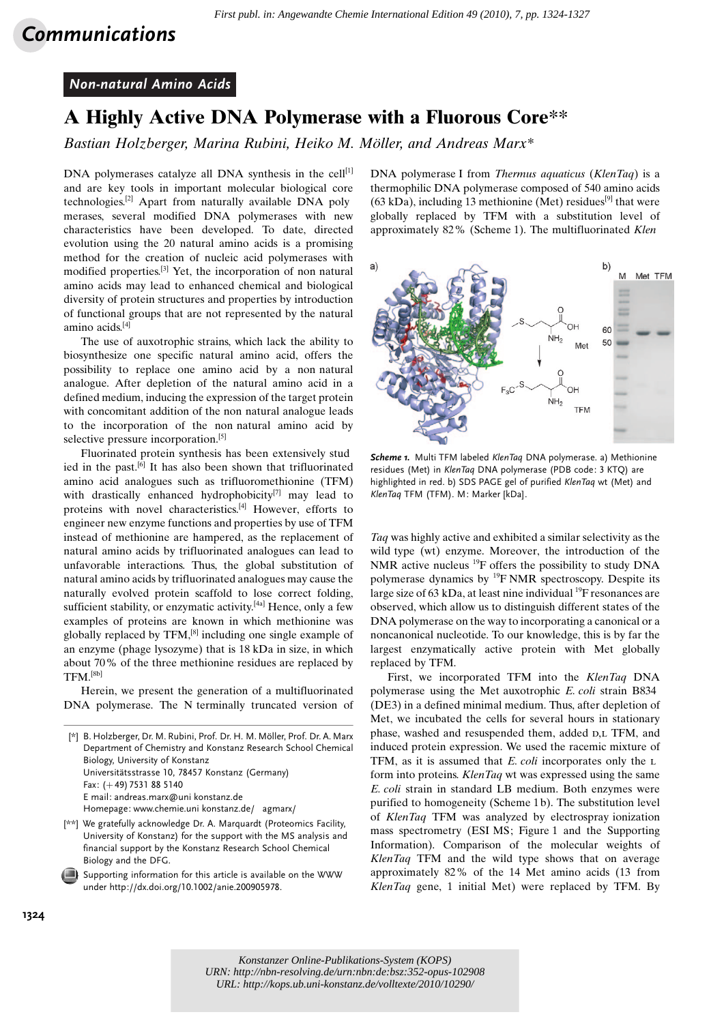## Communications

## Non-natural Amino Acids

## A Highly Active DNA Polymerase with a Fluorous Core\*\*

Bastian Holzberger, Marina Rubini, Heiko M. Möller, and Andreas Marx\*

DNA polymerases catalyze all DNA synthesis in the cell $[1]$ and are key tools in important molecular biological core technologies.[2] Apart from naturally available DNA poly merases, several modified DNA polymerases with new characteristics have been developed. To date, directed evolution using the 20 natural amino acids is a promising method for the creation of nucleic acid polymerases with modified properties.[3] Yet, the incorporation of non natural amino acids may lead to enhanced chemical and biological diversity of protein structures and properties by introduction of functional groups that are not represented by the natural amino acids.[4]

The use of auxotrophic strains, which lack the ability to biosynthesize one specific natural amino acid, offers the possibility to replace one amino acid by a non natural analogue. After depletion of the natural amino acid in a defined medium, inducing the expression of the target protein with concomitant addition of the non natural analogue leads to the incorporation of the non natural amino acid by selective pressure incorporation.<sup>[5]</sup>

Fluorinated protein synthesis has been extensively stud ied in the past.<sup>[6]</sup> It has also been shown that trifluorinated amino acid analogues such as trifluoromethionine (TFM) with drastically enhanced hydrophobicity<sup>[7]</sup> may lead to proteins with novel characteristics.[4] However, efforts to engineer new enzyme functions and properties by use of TFM instead of methionine are hampered, as the replacement of natural amino acids by trifluorinated analogues can lead to unfavorable interactions. Thus, the global substitution of natural amino acids by trifluorinated analogues may cause the naturally evolved protein scaffold to lose correct folding, sufficient stability, or enzymatic activity.<sup>[4a]</sup> Hence, only a few examples of proteins are known in which methionine was globally replaced by TFM,[8] including one single example of an enzyme (phage lysozyme) that is 18 kDa in size, in which about 70% of the three methionine residues are replaced by TFM.[8b]

Herein, we present the generation of a multifluorinated DNA polymerase. The N terminally truncated version of

[\*] B. Holzberger, Dr. M. Rubini, Prof. Dr. H. M. Möller, Prof. Dr. A. Marx Department of Chemistry and Konstanz Research School Chemical Biology, University of Konstanz Universitätsstrasse 10, 78457 Konstanz (Germany) Fax:  $(+49)$  7531 88 5140 E mail: andreas.marx@uni konstanz.de Homepage: www.chemie.uni konstanz.de/ agmarx/

- [\*\*] We gratefully acknowledge Dr. A. Marquardt (Proteomics Facility, University of Konstanz) for the support with the MS analysis and financial support by the Konstanz Research School Chemical Biology and the DFG.
- Supporting information for this article is available on the WWW under<http://dx.doi.org/10.1002/anie.200905978>.

DNA polymerase I from *Thermus aquaticus (KlenTaq)* is a thermophilic DNA polymerase composed of 540 amino acids  $(63 \text{ kDa})$ , including 13 methionine (Met) residues<sup>[9]</sup> that were globally replaced by TFM with a substitution level of approximately 82% (Scheme 1). The multifluorinated Klen



Scheme 1. Multi TFM labeled KlenTaq DNA polymerase. a) Methionine residues (Met) in KlenTaq DNA polymerase (PDB code: 3 KTQ) are highlighted in red. b) SDS PAGE gel of purified KlenTaq wt (Met) and KlenTaq TFM (TFM). M: Marker [kDa].

Taq was highly active and exhibited a similar selectivity as the wild type (wt) enzyme. Moreover, the introduction of the NMR active nucleus <sup>19</sup>F offers the possibility to study DNA polymerase dynamics by  $^{19}$ F NMR spectroscopy. Despite its large size of 63 kDa, at least nine individual  $^{19}$ F resonances are observed, which allow us to distinguish different states of the DNA polymerase on the way to incorporating a canonical or a noncanonical nucleotide. To our knowledge, this is by far the largest enzymatically active protein with Met globally replaced by TFM.

First, we incorporated TFM into the KlenTaq DNA polymerase using the Met auxotrophic E. coli strain B834 (DE3) in a defined minimal medium. Thus, after depletion of Met, we incubated the cells for several hours in stationary phase, washed and resuspended them, added  $D,L$  TFM, and induced protein expression. We used the racemic mixture of TFM, as it is assumed that  $E$ , coli incorporates only the  $L$ form into proteins. KlenTaq wt was expressed using the same E. coli strain in standard LB medium. Both enzymes were purified to homogeneity (Scheme 1b). The substitution level of KlenTaq TFM was analyzed by electrospray ionization mass spectrometry (ESI MS; Figure 1 and the Supporting Information). Comparison of the molecular weights of KlenTaq TFM and the wild type shows that on average approximately 82% of the 14 Met amino acids (13 from KlenTaq gene, 1 initial Met) were replaced by TFM. By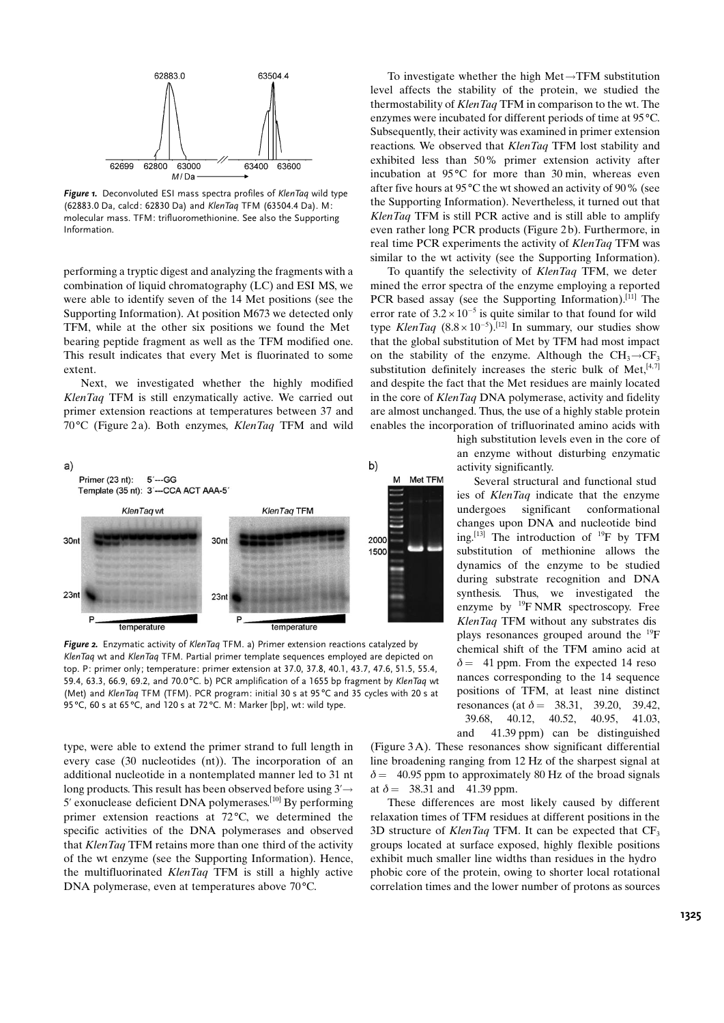

Figure 1. Deconvoluted ESI mass spectra profiles of KlenTaq wild type (62883.0 Da, calcd: 62830 Da) and KlenTaq TFM (63504.4 Da). M: molecular mass. TFM: trifluoromethionine. See also the Supporting Information.

performing a tryptic digest and analyzing the fragments with a combination of liquid chromatography (LC) and ESI MS, we were able to identify seven of the 14 Met positions (see the Supporting Information). At position M673 we detected only TFM, while at the other six positions we found the Met bearing peptide fragment as well as the TFM modified one. This result indicates that every Met is fluorinated to some extent.

Next, we investigated whether the highly modified KlenTaq TFM is still enzymatically active. We carried out primer extension reactions at temperatures between 37 and  $70^{\circ}$ C (Figure 2a). Both enzymes, *KlenTaq* TFM and wild



Figure 2. Enzymatic activity of KlenTaq TFM. a) Primer extension reactions catalyzed by KlenTaq wt and KlenTaq TFM. Partial primer template sequences employed are depicted on top. P: primer only; temperature: primer extension at 37.0, 37.8, 40.1, 43.7, 47.6, 51.5, 55.4, 59.4, 63.3, 66.9, 69.2, and 70.0°C. b) PCR amplification of a 1655 bp fragment by KlenTaq wt (Met) and KlenTaq TFM (TFM). PCR program: initial 30 s at 95 °C and 35 cycles with 20 s at 95 °C, 60 s at 65 °C, and 120 s at 72 °C. M: Marker [bp], wt: wild type.

type, were able to extend the primer strand to full length in every case (30 nucleotides (nt)). The incorporation of an additional nucleotide in a nontemplated manner led to 31 nt long products. This result has been observed before using  $3' \rightarrow$ 5' exonuclease deficient DNA polymerases.[10] By performing primer extension reactions at  $72^{\circ}$ C, we determined the specific activities of the DNA polymerases and observed that KlenTaq TFM retains more than one third of the activity of the wt enzyme (see the Supporting Information). Hence, the multifluorinated KlenTaq TFM is still a highly active DNA polymerase, even at temperatures above  $70^{\circ}$ C.

To investigate whether the high  $Met \rightarrow TFM$  substitution level affects the stability of the protein, we studied the thermostability of KlenTaq TFM in comparison to the wt. The enzymes were incubated for different periods of time at 95 °C. Subsequently, their activity was examined in primer extension reactions. We observed that KlenTaq TFM lost stability and exhibited less than 50% primer extension activity after incubation at  $95^{\circ}$ C for more than 30 min, whereas even after five hours at 95 $\degree$ C the wt showed an activity of 90 $\%$  (see the Supporting Information). Nevertheless, it turned out that KlenTaq TFM is still PCR active and is still able to amplify even rather long PCR products (Figure 2b). Furthermore, in real time PCR experiments the activity of KlenTaq TFM was similar to the wt activity (see the Supporting Information).

To quantify the selectivity of KlenTaq TFM, we deter mined the error spectra of the enzyme employing a reported PCR based assay (see the Supporting Information).<sup>[11]</sup> The error rate of  $3.2 \times 10^{-5}$  is quite similar to that found for wild type *KlenTaq*  $(8.8 \times 10^{-5})$ .<sup>[12]</sup> In summary, our studies show that the global substitution of Met by TFM had most impact on the stability of the enzyme. Although the CH<sub>3</sub> $\rightarrow$ CF<sub>3</sub> substitution definitely increases the steric bulk of Met, $[4, 7]$ and despite the fact that the Met residues are mainly located in the core of KlenTaq DNA polymerase, activity and fidelity are almost unchanged. Thus, the use of a highly stable protein enables the incorporation of trifluorinated amino acids with

> high substitution levels even in the core of an enzyme without disturbing enzymatic activity significantly.

> Several structural and functional stud ies of KlenTaq indicate that the enzyme undergoes significant conformational changes upon DNA and nucleotide bind ing.<sup>[13]</sup> The introduction of <sup>19</sup>F by TFM substitution of methionine allows the dynamics of the enzyme to be studied during substrate recognition and DNA synthesis. Thus, we investigated the enzyme by <sup>19</sup>F NMR spectroscopy. Free KlenTaq TFM without any substrates dis plays resonances grouped around the 19F chemical shift of the TFM amino acid at  $\delta$  = 41 ppm. From the expected 14 reso nances corresponding to the 14 sequence positions of TFM, at least nine distinct resonances (at  $\delta = 38.31, 39.20, 39.42,$ 39.68, 40.12, 40.52, 40.95, 41.03, and 41.39 ppm) can be distinguished

(Figure 3A). These resonances show significant differential line broadening ranging from 12 Hz of the sharpest signal at  $\delta$  = 40.95 ppm to approximately 80 Hz of the broad signals at  $\delta = 38.31$  and 41.39 ppm.

These differences are most likely caused by different relaxation times of TFM residues at different positions in the 3D structure of KlenTaq TFM. It can be expected that  $CF_3$ groups located at surface exposed, highly flexible positions exhibit much smaller line widths than residues in the hydro phobic core of the protein, owing to shorter local rotational correlation times and the lower number of protons as sources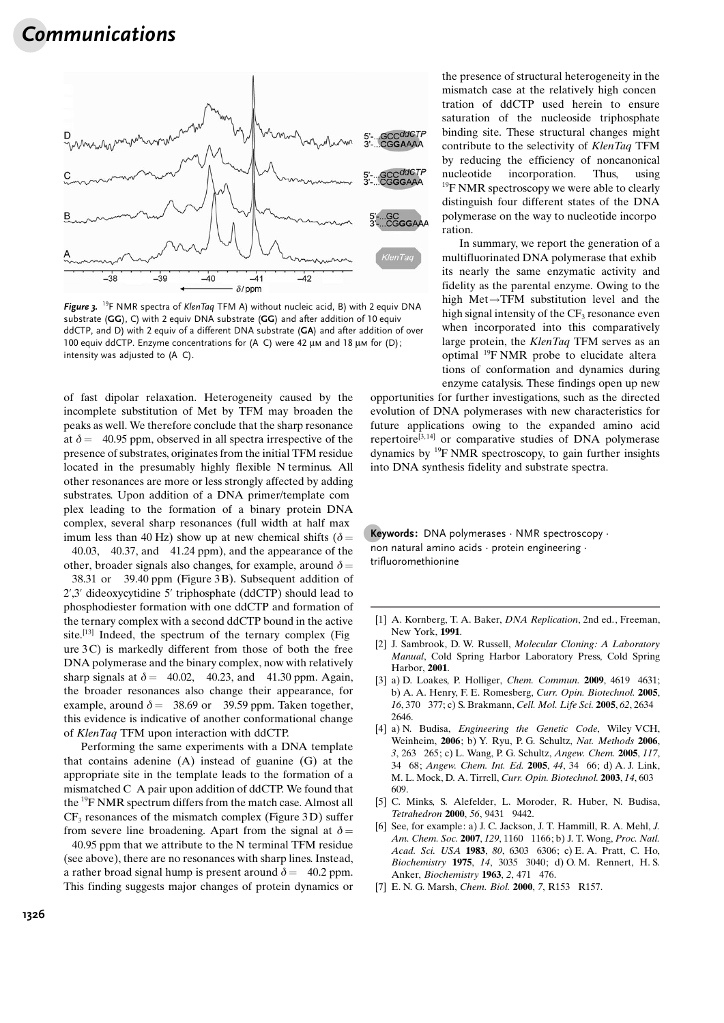## Communications



Figure 3. <sup>19</sup>F NMR spectra of KlenTaq TFM A) without nucleic acid, B) with 2 equiv DNA substrate (GG), C) with 2 equiv DNA substrate (GG) and after addition of 10 equiv ddCTP, and D) with 2 equiv of a different DNA substrate (GA) and after addition of over 100 equiv ddCTP. Enzyme concentrations for (A C) were 42  $\mu$ M and 18  $\mu$ M for (D); intensity was adjusted to (A C).

of fast dipolar relaxation. Heterogeneity caused by the incomplete substitution of Met by TFM may broaden the peaks as well. We therefore conclude that the sharp resonance at  $\delta$  = 40.95 ppm, observed in all spectra irrespective of the presence of substrates, originates from the initial TFM residue located in the presumably highly flexible N terminus. All other resonances are more or less strongly affected by adding substrates. Upon addition of a DNA primer/template com plex leading to the formation of a binary protein DNA complex, several sharp resonances (full width at half max imum less than 40 Hz) show up at new chemical shifts ( $\delta$  =

40.03, 40.37, and 41.24 ppm), and the appearance of the other, broader signals also changes, for example, around  $\delta$  = 38.31 or 39.40 ppm (Figure 3 B). Subsequent addition of 2',3' dideoxycytidine 5' triphosphate (ddCTP) should lead to phosphodiester formation with one ddCTP and formation of the ternary complex with a second ddCTP bound in the active site.<sup>[13]</sup> Indeed, the spectrum of the ternary complex (Fig. ure  $3C$ ) is markedly different from those of both the free DNA polymerase and the binary complex, now with relatively sharp signals at  $\delta = 40.02$ , 40.23, and 41.30 ppm. Again, the broader resonances also change their appearance, for example, around  $\delta = 38.69$  or 39.59 ppm. Taken together, this evidence is indicative of another conformational change of KlenTaq TFM upon interaction with ddCTP.

Performing the same experiments with a DNA template that contains adenine (A) instead of guanine (G) at the appropriate site in the template leads to the formation of a mismatched C A pair upon addition of ddCTP. We found that the 19F NMR spectrum differs from the match case. Almost all  $CF<sub>3</sub>$  resonances of the mismatch complex (Figure 3D) suffer from severe line broadening. Apart from the signal at  $\delta =$ 

40.95 ppm that we attribute to the N terminal TFM residue (see above), there are no resonances with sharp lines. Instead, a rather broad signal hump is present around  $\delta = 40.2$  ppm. This finding suggests major changes of protein dynamics or the presence of structural heterogeneity in the mismatch case at the relatively high concen tration of ddCTP used herein to ensure saturation of the nucleoside triphosphate binding site. These structural changes might contribute to the selectivity of KlenTaq TFM by reducing the efficiency of noncanonical nucleotide incorporation. Thus, using  $19$ F NMR spectroscopy we were able to clearly distinguish four different states of the DNA polymerase on the way to nucleotide incorpo ration.

In summary, we report the generation of a multifluorinated DNA polymerase that exhib its nearly the same enzymatic activity and fidelity as the parental enzyme. Owing to the high  $Met \rightarrow TFM$  substitution level and the high signal intensity of the  $CF_3$  resonance even when incorporated into this comparatively large protein, the KlenTaq TFM serves as an optimal 19F NMR probe to elucidate altera tions of conformation and dynamics during enzyme catalysis. These findings open up new

opportunities for further investigations, such as the directed evolution of DNA polymerases with new characteristics for future applications owing to the expanded amino acid repertoire<sup>[3,14]</sup> or comparative studies of DNA polymerase dynamics by  $^{19}$ F NMR spectroscopy, to gain further insights into DNA synthesis fidelity and substrate spectra.

Keywords: DNA polymerases · NMR spectroscopy · non natural amino acids · protein engineering · trifluoromethionine

- [1] A. Kornberg, T. A. Baker, *DNA Replication*, 2nd ed., Freeman, New York, 1991.
- [2] J. Sambrook, D. W. Russell, Molecular Cloning: A Laboratory Manual, Cold Spring Harbor Laboratory Press, Cold Spring Harbor, 2001.
- [3] a) D. Loakes, P. Holliger, [Chem. Commun.](http://dx.doi.org/10.1039/b903307f) 2009, 4619 4631; b) A. A. Henry, F. E. Romesberg, [Curr. Opin. Biotechnol.](http://dx.doi.org/10.1016/j.copbio.2005.06.008) 2005, 16[, 370 377](http://dx.doi.org/10.1016/j.copbio.2005.06.008); c) S. Brakmann, [Cell. Mol. Life Sci.](http://dx.doi.org/10.1007/s00018-005-5165-5) 2005, 62, 2634 [2646.](http://dx.doi.org/10.1007/s00018-005-5165-5)
- [4] a) N. Budisa, Engineering the Genetic Code, Wiley VCH, Weinheim, 2006; b) Y. Ryu, P. G. Schultz, [Nat. Methods](http://dx.doi.org/10.1038/nmeth864) 2006, 3[, 263 265](http://dx.doi.org/10.1038/nmeth864); c) L. Wang, P. G. Schultz, [Angew. Chem.](http://dx.doi.org/10.1002/ange.200460627) 2005, 117, [34 68](http://dx.doi.org/10.1002/ange.200460627); [Angew. Chem. Int. Ed.](http://dx.doi.org/10.1002/anie.200460627) 2005, 44, 34 66; d) A. J. Link, M. L. Mock, D. A. Tirrell, [Curr. Opin. Biotechnol.](http://dx.doi.org/10.1016/j.copbio.2003.10.011) 2003, 14, 603 [609.](http://dx.doi.org/10.1016/j.copbio.2003.10.011)
- [5] C. Minks, S. Alefelder, L. Moroder, R. Huber, N. Budisa, Tetrahedron 2000, 56[, 9431 9442](http://dx.doi.org/10.1016/S0040-4020(00)00827-9).
- [6] See, for example: a) J. C. Jackson, J. T. Hammill, R. A. Mehl, [J.](http://dx.doi.org/10.1021/ja064661t) [Am. Chem. Soc.](http://dx.doi.org/10.1021/ja064661t) 2007, 129, 1160 1166; b) J. T. Wong, [Proc. Natl.](http://dx.doi.org/10.1073/pnas.80.20.6303) [Acad. Sci. USA](http://dx.doi.org/10.1073/pnas.80.20.6303) 1983, 80, 6303 6306; c) E. A. Pratt, C. Ho, Biochemistry 1975, 14[, 3035 3040](http://dx.doi.org/10.1021/bi00684a037); d) O. M. Rennert, H. S. Anker, [Biochemistry](http://dx.doi.org/10.1021/bi00903a013) 1963, 2, 471 476.
- [7] E. N. G. Marsh, Chem. Biol. 2000, 7, R153 R157.